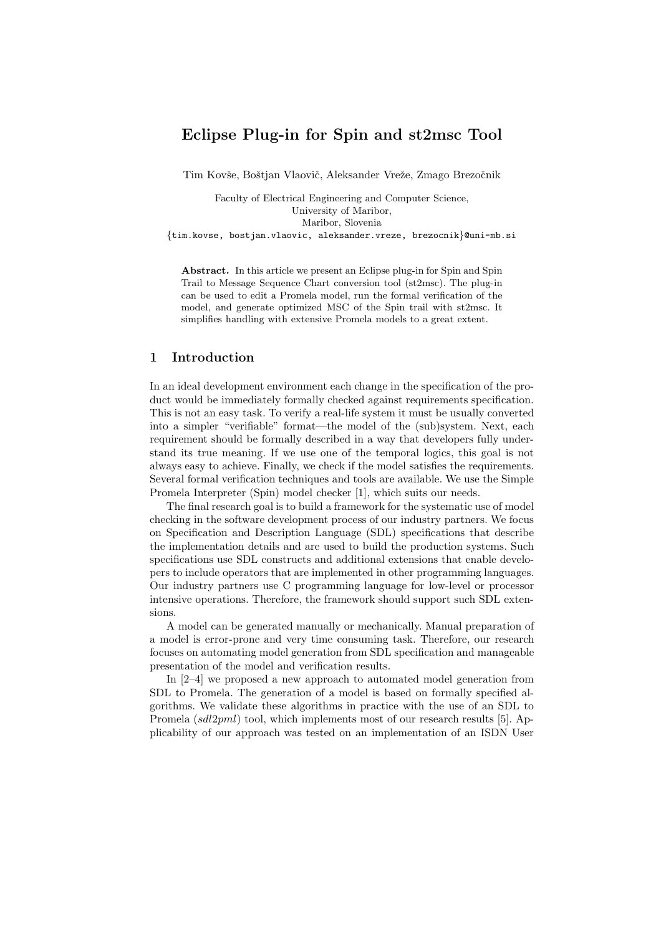# Eclipse Plug-in for Spin and st2msc Tool

Tim Kovše, Boštian Vlaovič, Aleksander Vreže, Zmago Brezočnik

Faculty of Electrical Engineering and Computer Science, University of Maribor, Maribor, Slovenia {tim.kovse, bostjan.vlaovic, aleksander.vreze, brezocnik}@uni-mb.si

Abstract. In this article we present an Eclipse plug-in for Spin and Spin Trail to Message Sequence Chart conversion tool (st2msc). The plug-in can be used to edit a Promela model, run the formal verification of the model, and generate optimized MSC of the Spin trail with st2msc. It simplifies handling with extensive Promela models to a great extent.

## 1 Introduction

In an ideal development environment each change in the specification of the product would be immediately formally checked against requirements specification. This is not an easy task. To verify a real-life system it must be usually converted into a simpler "verifiable" format—the model of the (sub)system. Next, each requirement should be formally described in a way that developers fully understand its true meaning. If we use one of the temporal logics, this goal is not always easy to achieve. Finally, we check if the model satisfies the requirements. Several formal verification techniques and tools are available. We use the Simple Promela Interpreter (Spin) model checker [1], which suits our needs.

The final research goal is to build a framework for the systematic use of model checking in the software development process of our industry partners. We focus on Specification and Description Language (SDL) specifications that describe the implementation details and are used to build the production systems. Such specifications use SDL constructs and additional extensions that enable developers to include operators that are implemented in other programming languages. Our industry partners use C programming language for low-level or processor intensive operations. Therefore, the framework should support such SDL extensions.

A model can be generated manually or mechanically. Manual preparation of a model is error-prone and very time consuming task. Therefore, our research focuses on automating model generation from SDL specification and manageable presentation of the model and verification results.

In [2–4] we proposed a new approach to automated model generation from SDL to Promela. The generation of a model is based on formally specified algorithms. We validate these algorithms in practice with the use of an SDL to Promela (sdl2pml) tool, which implements most of our research results [5]. Applicability of our approach was tested on an implementation of an ISDN User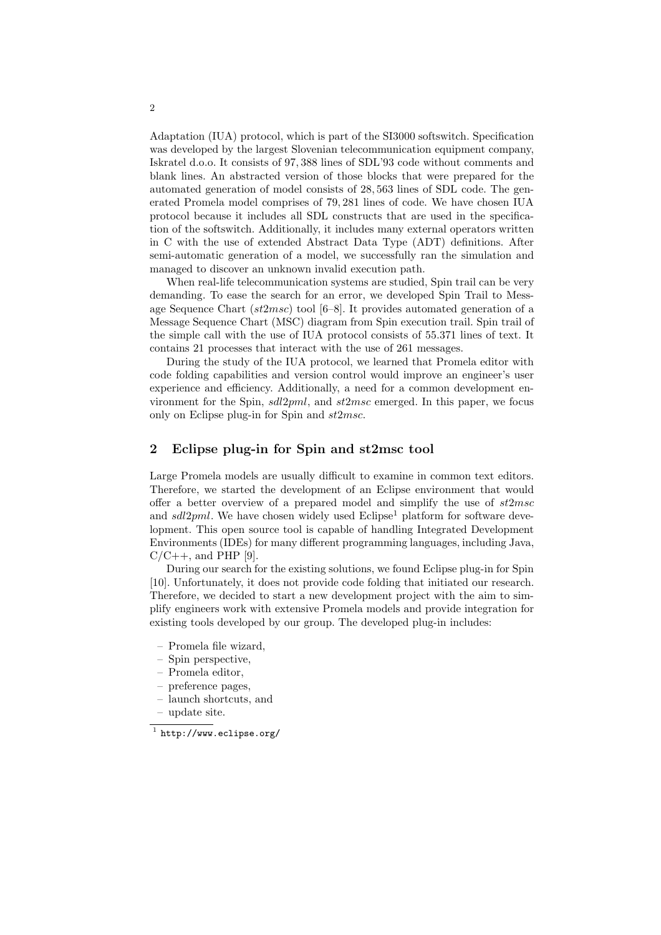Adaptation (IUA) protocol, which is part of the SI3000 softswitch. Specification was developed by the largest Slovenian telecommunication equipment company, Iskratel d.o.o. It consists of 97, 388 lines of SDL'93 code without comments and blank lines. An abstracted version of those blocks that were prepared for the automated generation of model consists of 28, 563 lines of SDL code. The generated Promela model comprises of 79, 281 lines of code. We have chosen IUA protocol because it includes all SDL constructs that are used in the specification of the softswitch. Additionally, it includes many external operators written in C with the use of extended Abstract Data Type (ADT) definitions. After semi-automatic generation of a model, we successfully ran the simulation and managed to discover an unknown invalid execution path.

When real-life telecommunication systems are studied, Spin trail can be very demanding. To ease the search for an error, we developed Spin Trail to Message Sequence Chart ( $st2msc$ ) tool [6–8]. It provides automated generation of a Message Sequence Chart (MSC) diagram from Spin execution trail. Spin trail of the simple call with the use of IUA protocol consists of 55.371 lines of text. It contains 21 processes that interact with the use of 261 messages.

During the study of the IUA protocol, we learned that Promela editor with code folding capabilities and version control would improve an engineer's user experience and efficiency. Additionally, a need for a common development environment for the Spin,  $sdl2pml$ , and  $st2msc$  emerged. In this paper, we focus only on Eclipse plug-in for Spin and st2msc.

### 2 Eclipse plug-in for Spin and st2msc tool

Large Promela models are usually difficult to examine in common text editors. Therefore, we started the development of an Eclipse environment that would offer a better overview of a prepared model and simplify the use of  $st2msc$ and  $sdl2pml$ . We have chosen widely used Eclipse<sup>1</sup> platform for software development. This open source tool is capable of handling Integrated Development Environments (IDEs) for many different programming languages, including Java,  $C/C++$ , and PHP [9].

During our search for the existing solutions, we found Eclipse plug-in for Spin [10]. Unfortunately, it does not provide code folding that initiated our research. Therefore, we decided to start a new development project with the aim to simplify engineers work with extensive Promela models and provide integration for existing tools developed by our group. The developed plug-in includes:

- Promela file wizard,
- Spin perspective,
- Promela editor,
- preference pages,
- launch shortcuts, and
- update site.

 $^1$  http://www.eclipse.org/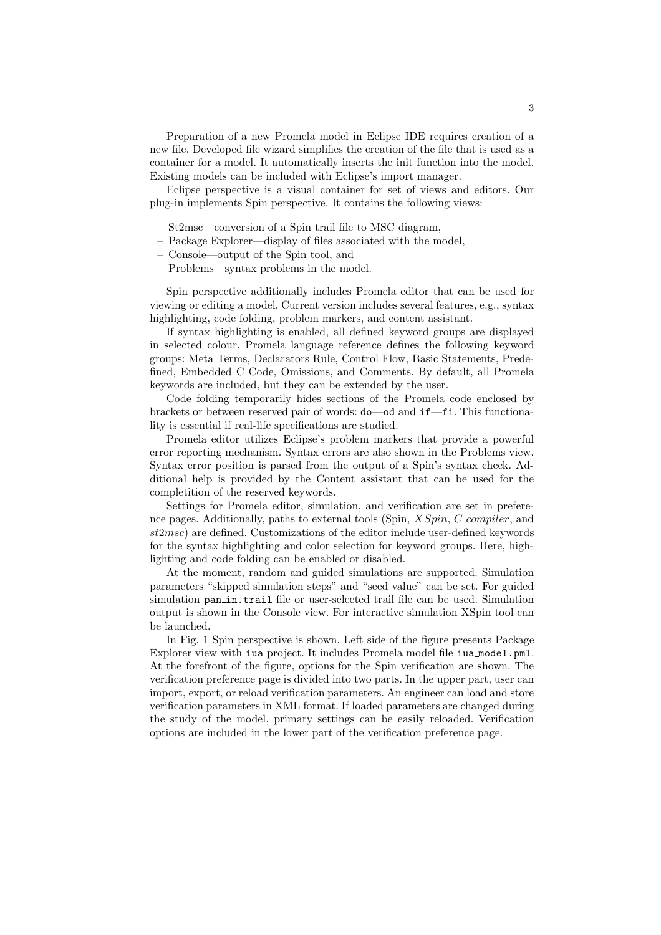Preparation of a new Promela model in Eclipse IDE requires creation of a new file. Developed file wizard simplifies the creation of the file that is used as a container for a model. It automatically inserts the init function into the model. Existing models can be included with Eclipse's import manager.

Eclipse perspective is a visual container for set of views and editors. Our plug-in implements Spin perspective. It contains the following views:

- St2msc—conversion of a Spin trail file to MSC diagram,
- Package Explorer—display of files associated with the model,
- Console—output of the Spin tool, and
- Problems—syntax problems in the model.

Spin perspective additionally includes Promela editor that can be used for viewing or editing a model. Current version includes several features, e.g., syntax highlighting, code folding, problem markers, and content assistant.

If syntax highlighting is enabled, all defined keyword groups are displayed in selected colour. Promela language reference defines the following keyword groups: Meta Terms, Declarators Rule, Control Flow, Basic Statements, Predefined, Embedded C Code, Omissions, and Comments. By default, all Promela keywords are included, but they can be extended by the user.

Code folding temporarily hides sections of the Promela code enclosed by brackets or between reserved pair of words: do—od and if—fi. This functionality is essential if real-life specifications are studied.

Promela editor utilizes Eclipse's problem markers that provide a powerful error reporting mechanism. Syntax errors are also shown in the Problems view. Syntax error position is parsed from the output of a Spin's syntax check. Additional help is provided by the Content assistant that can be used for the completition of the reserved keywords.

Settings for Promela editor, simulation, and verification are set in preference pages. Additionally, paths to external tools (Spin, XSpin, C compiler, and st2msc) are defined. Customizations of the editor include user-defined keywords for the syntax highlighting and color selection for keyword groups. Here, highlighting and code folding can be enabled or disabled.

At the moment, random and guided simulations are supported. Simulation parameters "skipped simulation steps" and "seed value" can be set. For guided simulation pan\_in.trail file or user-selected trail file can be used. Simulation output is shown in the Console view. For interactive simulation XSpin tool can be launched.

In Fig. 1 Spin perspective is shown. Left side of the figure presents Package Explorer view with iua project. It includes Promela model file iua model.pml. At the forefront of the figure, options for the Spin verification are shown. The verification preference page is divided into two parts. In the upper part, user can import, export, or reload verification parameters. An engineer can load and store verification parameters in XML format. If loaded parameters are changed during the study of the model, primary settings can be easily reloaded. Verification options are included in the lower part of the verification preference page.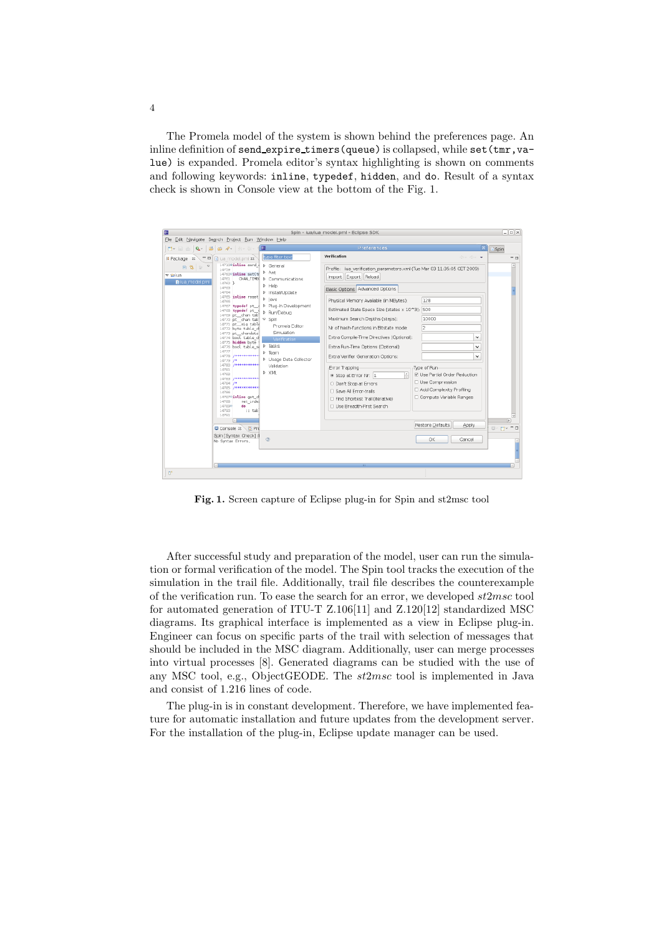The Promela model of the system is shown behind the preferences page. An inline definition of send\_expire\_timers(queue) is collapsed, while set(tmr, value) is expanded. Promela editor's syntax highlighting is shown on comments and following keywords: inline, typedef, hidden, and do. Result of a syntax check is shown in Console view at the bottom of the Fig. 1.



Fig. 1. Screen capture of Eclipse plug-in for Spin and st2msc tool

After successful study and preparation of the model, user can run the simulation or formal verification of the model. The Spin tool tracks the execution of the simulation in the trail file. Additionally, trail file describes the counterexample of the verification run. To ease the search for an error, we developed st2msc tool for automated generation of ITU-T Z.106[11] and Z.120[12] standardized MSC diagrams. Its graphical interface is implemented as a view in Eclipse plug-in. Engineer can focus on specific parts of the trail with selection of messages that should be included in the MSC diagram. Additionally, user can merge processes into virtual processes [8]. Generated diagrams can be studied with the use of any MSC tool, e.g., ObjectGEODE. The st2msc tool is implemented in Java and consist of 1.216 lines of code.

The plug-in is in constant development. Therefore, we have implemented feature for automatic installation and future updates from the development server. For the installation of the plug-in, Eclipse update manager can be used.